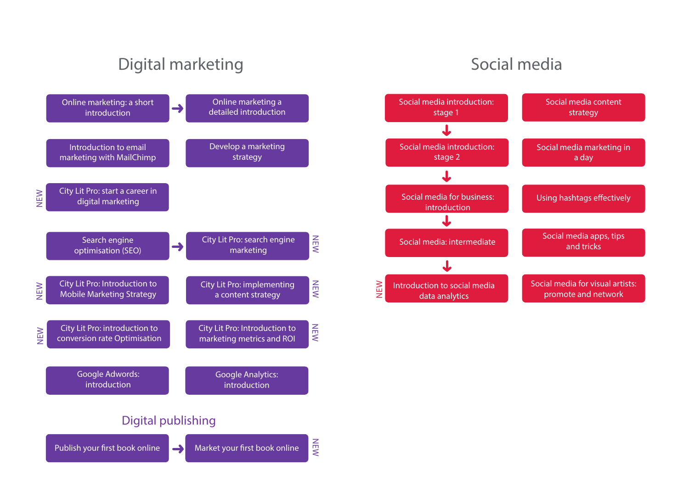# Digital marketing





Social media

Social media apps, tips and tricks

Social media content strategy

Using hashtags effectively

Social media marketing in a day

Social media for visual artists: promote and network